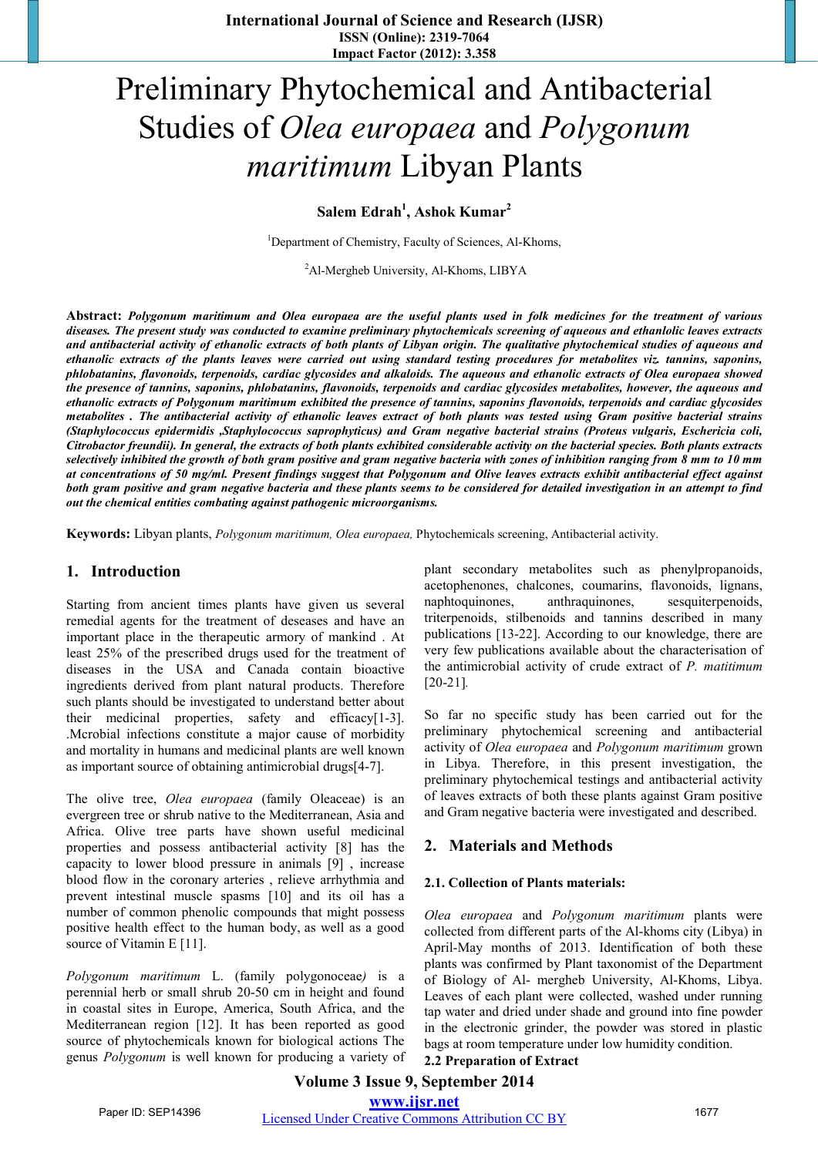# Preliminary Phytochemical and Antibacterial Studies of *Olea europaea* and *Polygonum maritimum* Libyan Plants

**Salem Edrah1 , Ashok Kumar<sup>2</sup>**

<sup>1</sup>Department of Chemistry, Faculty of Sciences, Al-Khoms,

<sup>2</sup>Al-Mergheb University, Al-Khoms, LIBYA

**Abstract:** *Polygonum maritimum and Olea europaea are the useful plants used in folk medicines for the treatment of various diseases. The present study was conducted to examine preliminary phytochemicals screening of aqueous and ethanlolic leaves extracts and antibacterial activity of ethanolic extracts of both plants of Libyan origin. The qualitative phytochemical studies of aqueous and ethanolic extracts of the plants leaves were carried out using standard testing procedures for metabolites viz. tannins, saponins, phlobatanins, flavonoids, terpenoids, cardiac glycosides and alkaloids. The aqueous and ethanolic extracts of Olea europaea showed the presence of tannins, saponins, phlobatanins, flavonoids, terpenoids and cardiac glycosides metabolites, however, the aqueous and ethanolic extracts of Polygonum maritimum exhibited the presence of tannins, saponins flavonoids, terpenoids and cardiac glycosides metabolites . The antibacterial activity of ethanolic leaves extract of both plants was tested using Gram positive bacterial strains (Staphylococcus epidermidis ,Staphylococcus saprophyticus) and Gram negative bacterial strains (Proteus vulgaris, Eschericia coli, Citrobactor freundii). In general, the extracts of both plants exhibited considerable activity on the bacterial species. Both plants extracts selectively inhibited the growth of both gram positive and gram negative bacteria with zones of inhibition ranging from 8 mm to 10 mm at concentrations of 50 mg/ml. Present findings suggest that Polygonum and Olive leaves extracts exhibit antibacterial effect against both gram positive and gram negative bacteria and these plants seems to be considered for detailed investigation in an attempt to find out the chemical entities combating against pathogenic microorganisms.* 

**Keywords:** Libyan plants, *Polygonum maritimum, Olea europaea,* Phytochemicals screening, Antibacterial activity.

## **1. Introduction**

Starting from ancient times plants have given us several remedial agents for the treatment of deseases and have an important place in the therapeutic armory of mankind . At least 25% of the prescribed drugs used for the treatment of diseases in the USA and Canada contain bioactive ingredients derived from plant natural products. Therefore such plants should be investigated to understand better about their medicinal properties, safety and efficacy[1-3]. .Mcrobial infections constitute a major cause of morbidity and mortality in humans and medicinal plants are well known as important source of obtaining antimicrobial drugs[4-7].

The olive tree, *Olea europaea* (family Oleaceae) is an evergreen tree or shrub native to the Mediterranean, Asia and Africa. Olive tree parts have shown useful medicinal properties and possess antibacterial activity [8] has the capacity to lower blood pressure in animals [9] , increase blood flow in the coronary arteries , relieve arrhythmia and prevent intestinal muscle spasms [10] and its oil has a number of common phenolic compounds that might possess positive health effect to the human body, as well as a good source of Vitamin E [11].

*Polygonum maritimum* L. (family polygonoceae*)* is a perennial herb or small shrub 20-50 cm in height and found in coastal sites in Europe, America, South Africa, and the Mediterranean region [12]. It has been reported as good source of phytochemicals known for biological actions The genus *Polygonum* is well known for producing a variety of plant secondary metabolites such as phenylpropanoids, acetophenones, chalcones, coumarins, flavonoids, lignans, naphtoquinones, anthraquinones, sesquiterpenoids, triterpenoids, stilbenoids and tannins described in many publications [13-22]. According to our knowledge, there are very few publications available about the characterisation of the antimicrobial activity of crude extract of *P. matitimum*  [20-21]*.* 

So far no specific study has been carried out for the preliminary phytochemical screening and antibacterial activity of *Olea europaea* and *Polygonum maritimum* grown in Libya. Therefore, in this present investigation, the preliminary phytochemical testings and antibacterial activity of leaves extracts of both these plants against Gram positive and Gram negative bacteria were investigated and described.

## **2. Materials and Methods**

#### **2.1. Collection of Plants materials:**

*Olea europaea* and *Polygonum maritimum* plants were collected from different parts of the Al-khoms city (Libya) in April-May months of 2013. Identification of both these plants was confirmed by Plant taxonomist of the Department of Biology of Al- mergheb University, Al-Khoms, Libya. Leaves of each plant were collected, washed under running tap water and dried under shade and ground into fine powder in the electronic grinder, the powder was stored in plastic bags at room temperature under low humidity condition. **2.2 Preparation of Extract** 

# **Volume 3 Issue 9, September 2014 www.ijsr.net** Paper ID: SEP14396 *Licensed Under Creative Commons Attribution CC BY* 1677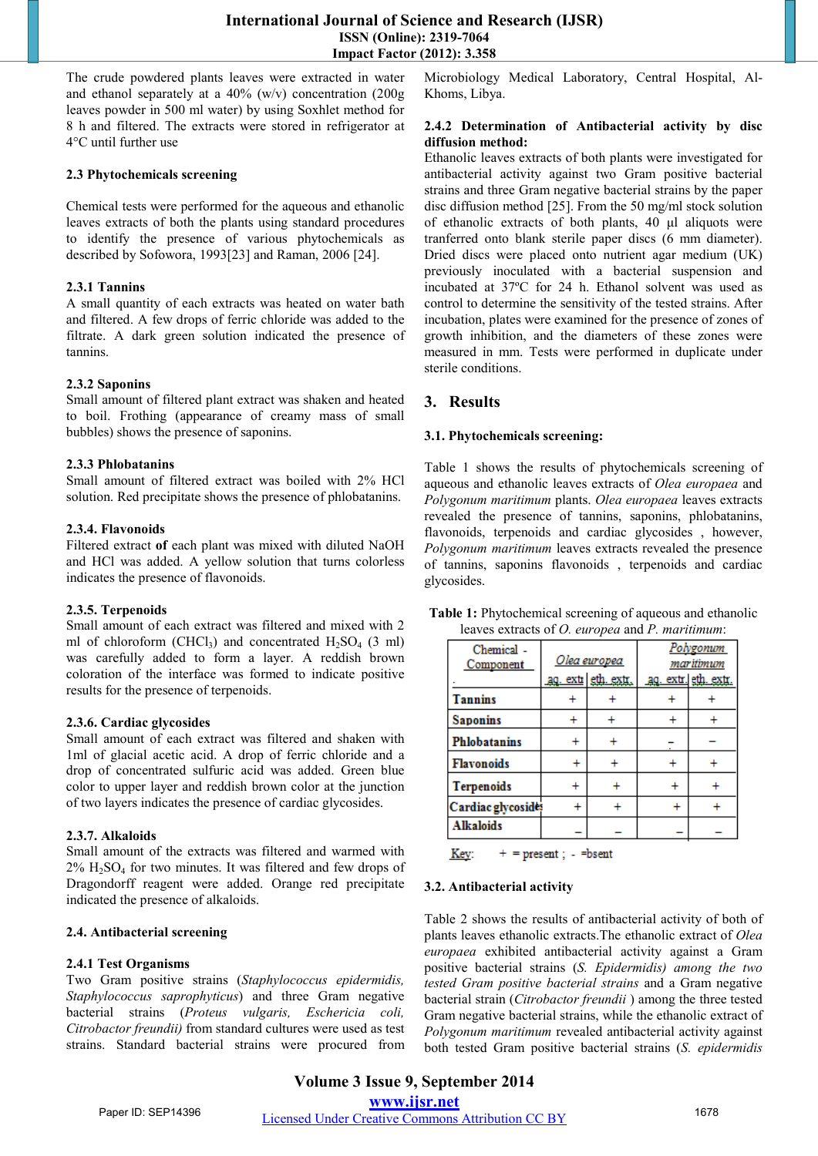## **International Journal of Science and Research (IJSR) ISSN (Online): 2319-7064 Impact Factor (2012): 3.358**

The crude powdered plants leaves were extracted in water and ethanol separately at a 40% (w/v) concentration (200g leaves powder in 500 ml water) by using Soxhlet method for 8 h and filtered. The extracts were stored in refrigerator at 4°C until further use

## **2.3 Phytochemicals screening**

Chemical tests were performed for the aqueous and ethanolic leaves extracts of both the plants using standard procedures to identify the presence of various phytochemicals as described by Sofowora, 1993[23] and Raman, 2006 [24].

## **2.3.1 Tannins**

A small quantity of each extracts was heated on water bath and filtered. A few drops of ferric chloride was added to the filtrate. A dark green solution indicated the presence of tannins.

#### **2.3.2 Saponins**

Small amount of filtered plant extract was shaken and heated to boil. Frothing (appearance of creamy mass of small bubbles) shows the presence of saponins.

#### **2.3.3 Phlobatanins**

Small amount of filtered extract was boiled with 2% HCl solution. Red precipitate shows the presence of phlobatanins.

#### **2.3.4. Flavonoids**

Filtered extract **of** each plant was mixed with diluted NaOH and HCl was added. A yellow solution that turns colorless indicates the presence of flavonoids.

## **2.3.5. Terpenoids**

Small amount of each extract was filtered and mixed with 2 ml of chloroform (CHCl<sub>3</sub>) and concentrated  $H_2SO_4$  (3 ml) was carefully added to form a layer. A reddish brown coloration of the interface was formed to indicate positive results for the presence of terpenoids.

#### **2.3.6. Cardiac glycosides**

Small amount of each extract was filtered and shaken with 1ml of glacial acetic acid. A drop of ferric chloride and a drop of concentrated sulfuric acid was added. Green blue color to upper layer and reddish brown color at the junction of two layers indicates the presence of cardiac glycosides.

## **2.3.7. Alkaloids**

Small amount of the extracts was filtered and warmed with  $2\%$  H<sub>2</sub>SO<sub>4</sub> for two minutes. It was filtered and few drops of Dragondorff reagent were added. Orange red precipitate indicated the presence of alkaloids.

## **2.4. Antibacterial screening**

## **2.4.1 Test Organisms**

Two Gram positive strains (*Staphylococcus epidermidis, Staphylococcus saprophyticus*) and three Gram negative bacterial strains (*Proteus vulgaris, Eschericia coli, Citrobactor freundii)* from standard cultures were used as test strains. Standard bacterial strains were procured from Microbiology Medical Laboratory, Central Hospital, Al-Khoms, Libya.

#### **2.4.2 Determination of Antibacterial activity by disc diffusion method:**

Ethanolic leaves extracts of both plants were investigated for antibacterial activity against two Gram positive bacterial strains and three Gram negative bacterial strains by the paper disc diffusion method [25]. From the 50 mg/ml stock solution of ethanolic extracts of both plants, 40 μl aliquots were tranferred onto blank sterile paper discs (6 mm diameter). Dried discs were placed onto nutrient agar medium (UK) previously inoculated with a bacterial suspension and incubated at 37ºC for 24 h. Ethanol solvent was used as control to determine the sensitivity of the tested strains. After incubation, plates were examined for the presence of zones of growth inhibition, and the diameters of these zones were measured in mm. Tests were performed in duplicate under sterile conditions.

## **3. Results**

## **3.1. Phytochemicals screening:**

Table 1 shows the results of phytochemicals screening of aqueous and ethanolic leaves extracts of *Olea europaea* and *Polygonum maritimum* plants. *Olea europaea* leaves extracts revealed the presence of tannins, saponins, phlobatanins, flavonoids, terpenoids and cardiac glycosides, however, *Polygonum maritimum* leaves extracts revealed the presence of tannins, saponins flavonoids , terpenoids and cardiac glycosides.

| Chemical -<br>Component | Olea europea |                     | Polygonum<br>maritimum |  |
|-------------------------|--------------|---------------------|------------------------|--|
|                         |              | ag. extr eth. extr. | ag. extr. eth. extr.   |  |
| <b>Tannins</b>          |              |                     |                        |  |
| <b>Saponins</b>         |              |                     |                        |  |
| <b>Phlobatanins</b>     |              |                     |                        |  |
| <b>Flavonoids</b>       |              |                     |                        |  |
| <b>Terpenoids</b>       |              |                     |                        |  |
| Cardiac glycosides      |              |                     |                        |  |
| <b>Alkaloids</b>        |              |                     |                        |  |

**Table 1:** Phytochemical screening of aqueous and ethanolic leaves extracts of *O. europea* and *P. maritimum*:

Key:  $+$  = present; - = bsent

## **3.2. Antibacterial activity**

Table 2 shows the results of antibacterial activity of both of plants leaves ethanolic extracts.The ethanolic extract of *Olea europaea* exhibited antibacterial activity against a Gram positive bacterial strains (*S. Epidermidis) among the two tested Gram positive bacterial strains* and a Gram negative bacterial strain (*Citrobactor freundii* ) among the three tested Gram negative bacterial strains, while the ethanolic extract of *Polygonum maritimum* revealed antibacterial activity against both tested Gram positive bacterial strains (*S. epidermidis*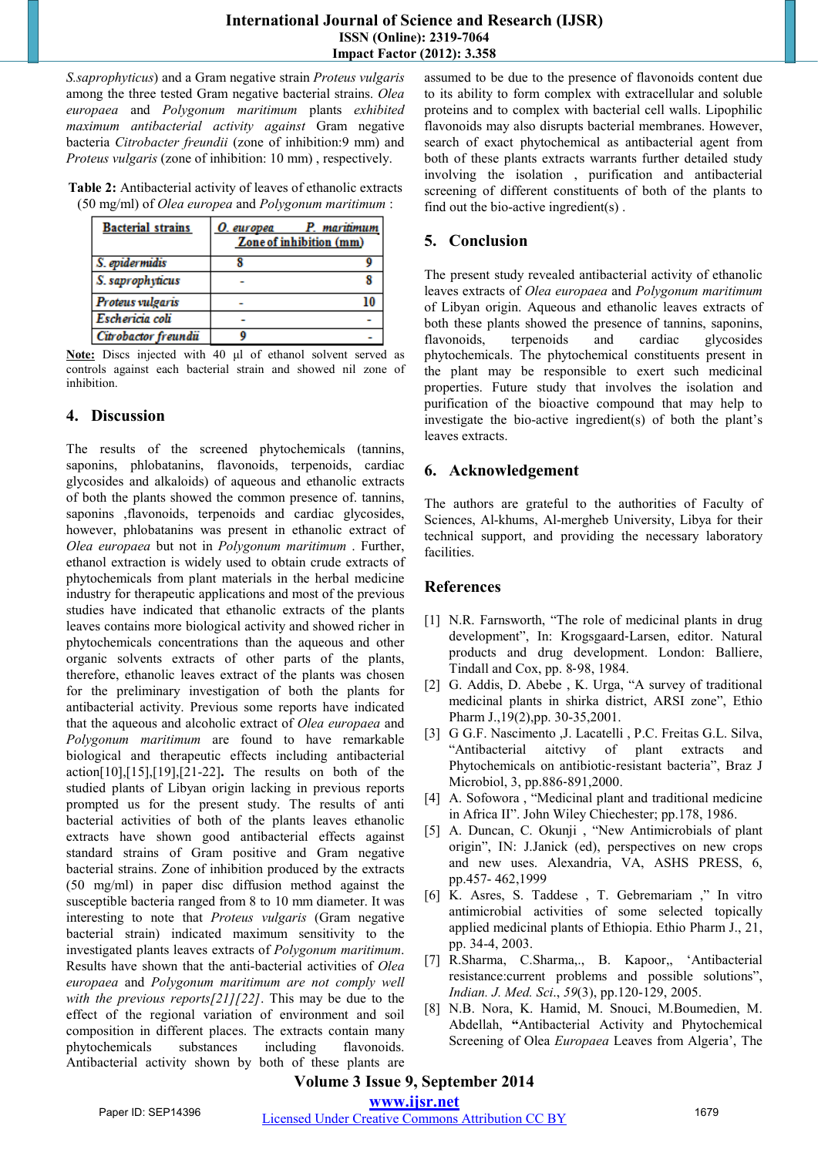*S.saprophyticus*) and a Gram negative strain *Proteus vulgaris* among the three tested Gram negative bacterial strains. *Olea europaea* and *Polygonum maritimum* plants *exhibited maximum antibacterial activity against* Gram negative bacteria *Citrobacter freundii* (zone of inhibition:9 mm) and *Proteus vulgaris* (zone of inhibition: 10 mm) , respectively.

**Table 2:** Antibacterial activity of leaves of ethanolic extracts (50 mg/ml) of *Olea europea* and *Polygonum maritimum* :

| <b>Bacterial strains</b> | O. europea | P. maritimum<br>Zone of inhibition (mm) |
|--------------------------|------------|-----------------------------------------|
| S. epidermidis           |            |                                         |
| S. saprophyticus         |            |                                         |
| Proteus vulgaris         |            |                                         |
| Eschericia coli          |            |                                         |
| Citrobactor freundii     |            |                                         |

**Note:** Discs injected with 40 μl of ethanol solvent served as controls against each bacterial strain and showed nil zone of inhibition.

# **4. Discussion**

The results of the screened phytochemicals (tannins, saponins, phlobatanins, flavonoids, terpenoids, cardiac glycosides and alkaloids) of aqueous and ethanolic extracts of both the plants showed the common presence of. tannins, saponins ,flavonoids, terpenoids and cardiac glycosides, however, phlobatanins was present in ethanolic extract of *Olea europaea* but not in *Polygonum maritimum* . Further, ethanol extraction is widely used to obtain crude extracts of phytochemicals from plant materials in the herbal medicine industry for therapeutic applications and most of the previous studies have indicated that ethanolic extracts of the plants leaves contains more biological activity and showed richer in phytochemicals concentrations than the aqueous and other organic solvents extracts of other parts of the plants, therefore, ethanolic leaves extract of the plants was chosen for the preliminary investigation of both the plants for antibacterial activity. Previous some reports have indicated that the aqueous and alcoholic extract of *Olea europaea* and *Polygonum maritimum* are found to have remarkable biological and therapeutic effects including antibacterial action[10],[15],[19],[21-22]**.** The results on both of the studied plants of Libyan origin lacking in previous reports prompted us for the present study. The results of anti bacterial activities of both of the plants leaves ethanolic extracts have shown good antibacterial effects against standard strains of Gram positive and Gram negative bacterial strains. Zone of inhibition produced by the extracts (50 mg/ml) in paper disc diffusion method against the susceptible bacteria ranged from 8 to 10 mm diameter. It was interesting to note that *Proteus vulgaris* (Gram negative bacterial strain) indicated maximum sensitivity to the investigated plants leaves extracts of *Polygonum maritimum*. Results have shown that the anti-bacterial activities of *Olea europaea* and *Polygonum maritimum are not comply well with the previous reports[21][22]*. This may be due to the effect of the regional variation of environment and soil composition in different places. The extracts contain many phytochemicals substances including flavonoids. Antibacterial activity shown by both of these plants are assumed to be due to the presence of flavonoids content due to its ability to form complex with extracellular and soluble proteins and to complex with bacterial cell walls. Lipophilic flavonoids may also disrupts bacterial membranes. However, search of exact phytochemical as antibacterial agent from both of these plants extracts warrants further detailed study involving the isolation , purification and antibacterial screening of different constituents of both of the plants to find out the bio-active ingredient(s) .

# **5. Conclusion**

The present study revealed antibacterial activity of ethanolic leaves extracts of *Olea europaea* and *Polygonum maritimum*  of Libyan origin. Aqueous and ethanolic leaves extracts of both these plants showed the presence of tannins, saponins, flavonoids, terpenoids and cardiac glycosides phytochemicals. The phytochemical constituents present in the plant may be responsible to exert such medicinal properties. Future study that involves the isolation and purification of the bioactive compound that may help to investigate the bio-active ingredient(s) of both the plant's leaves extracts.

# **6. Acknowledgement**

The authors are grateful to the authorities of Faculty of Sciences, Al-khums, Al-mergheb University, Libya for their technical support, and providing the necessary laboratory facilities.

# **References**

- [1] N.R. Farnsworth, "The role of medicinal plants in drug development", In: Krogsgaard‐Larsen, editor. Natural products and drug development. London: Balliere, Tindall and Cox, pp. 8‐98, 1984.
- [2] G. Addis, D. Abebe , K. Urga, "A survey of traditional medicinal plants in shirka district, ARSI zone", Ethio Pharm J.,19(2),pp. 30-35,2001.
- [3] G G.F. Nascimento ,J. Lacatelli , P.C. Freitas G.L. Silva, "Antibacterial aitctivy of plant extracts and Phytochemicals on antibiotic‐resistant bacteria", Braz J Microbiol, 3, pp.886-891,2000.
- [4] A. Sofowora , "Medicinal plant and traditional medicine in Africa II". John Wiley Chiechester; pp.178, 1986.
- [5] A. Duncan, C. Okunji , "New Antimicrobials of plant origin", IN: J.Janick (ed), perspectives on new crops and new uses. Alexandria, VA, ASHS PRESS, 6, pp.457- 462,1999
- [6] K. Asres, S. Taddese , T. Gebremariam ," In vitro antimicrobial activities of some selected topically applied medicinal plants of Ethiopia. Ethio Pharm J., 21, pp. 34-4, 2003.
- [7] R.Sharma, C.Sharma,., B. Kapoor,, 'Antibacterial resistance:current problems and possible solutions", *Indian. J. Med. Sci*., *59*(3), pp.120-129, 2005.
- [8] N.B. Nora, K. Hamid, M. Snouci, M.Boumedien, M. Abdellah, **"**Antibacterial Activity and Phytochemical Screening of Olea *Europaea* Leaves from Algeria', The

# **Volume 3 Issue 9, September 2014**